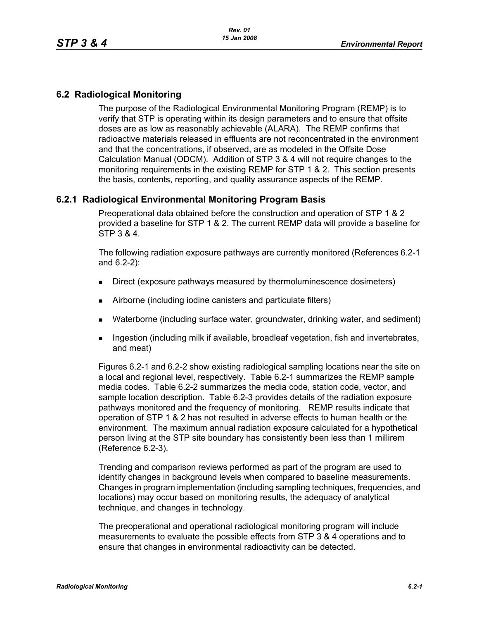## **6.2 Radiological Monitoring**

The purpose of the Radiological Environmental Monitoring Program (REMP) is to verify that STP is operating within its design parameters and to ensure that offsite doses are as low as reasonably achievable (ALARA). The REMP confirms that radioactive materials released in effluents are not reconcentrated in the environment and that the concentrations, if observed, are as modeled in the Offsite Dose Calculation Manual (ODCM). Addition of STP 3 & 4 will not require changes to the monitoring requirements in the existing REMP for STP 1 & 2. This section presents the basis, contents, reporting, and quality assurance aspects of the REMP.

## **6.2.1 Radiological Environmental Monitoring Program Basis**

Preoperational data obtained before the construction and operation of STP 1 & 2 provided a baseline for STP 1 & 2. The current REMP data will provide a baseline for STP 3 & 4.

The following radiation exposure pathways are currently monitored (References 6.2-1 and 6.2-2):

- **Direct (exposure pathways measured by thermoluminescence dosimeters)**
- Airborne (including iodine canisters and particulate filters)
- Waterborne (including surface water, groundwater, drinking water, and sediment)
- **Ingestion (including milk if available, broadleaf vegetation, fish and invertebrates,** and meat)

Figures 6.2-1 and 6.2-2 show existing radiological sampling locations near the site on a local and regional level, respectively. Table 6.2-1 summarizes the REMP sample media codes. Table 6.2-2 summarizes the media code, station code, vector, and sample location description. Table 6.2-3 provides details of the radiation exposure pathways monitored and the frequency of monitoring. REMP results indicate that operation of STP 1 & 2 has not resulted in adverse effects to human health or the environment. The maximum annual radiation exposure calculated for a hypothetical person living at the STP site boundary has consistently been less than 1 millirem (Reference 6.2-3).

Trending and comparison reviews performed as part of the program are used to identify changes in background levels when compared to baseline measurements. Changes in program implementation (including sampling techniques, frequencies, and locations) may occur based on monitoring results, the adequacy of analytical technique, and changes in technology.

The preoperational and operational radiological monitoring program will include measurements to evaluate the possible effects from STP 3 & 4 operations and to ensure that changes in environmental radioactivity can be detected.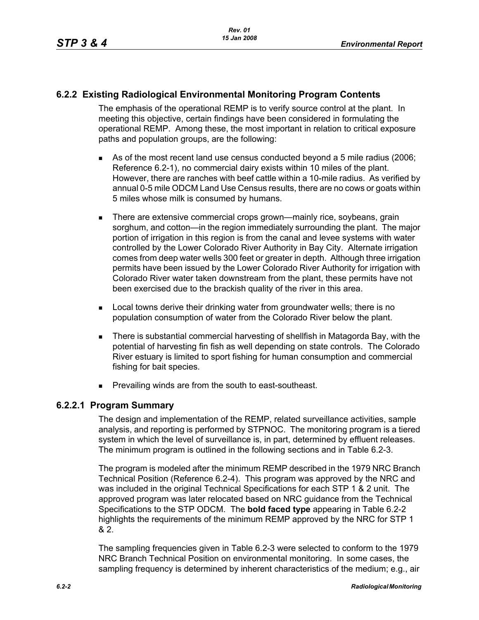## **6.2.2 Existing Radiological Environmental Monitoring Program Contents**

The emphasis of the operational REMP is to verify source control at the plant. In meeting this objective, certain findings have been considered in formulating the operational REMP. Among these, the most important in relation to critical exposure paths and population groups, are the following:

- As of the most recent land use census conducted beyond a 5 mile radius (2006; Reference 6.2-1), no commercial dairy exists within 10 miles of the plant. However, there are ranches with beef cattle within a 10-mile radius. As verified by annual 0-5 mile ODCM Land Use Census results, there are no cows or goats within 5 miles whose milk is consumed by humans.
- **There are extensive commercial crops grown—mainly rice, soybeans, grain** sorghum, and cotton—in the region immediately surrounding the plant. The major portion of irrigation in this region is from the canal and levee systems with water controlled by the Lower Colorado River Authority in Bay City. Alternate irrigation comes from deep water wells 300 feet or greater in depth. Although three irrigation permits have been issued by the Lower Colorado River Authority for irrigation with Colorado River water taken downstream from the plant, these permits have not been exercised due to the brackish quality of the river in this area.
- **Local towns derive their drinking water from groundwater wells; there is no** population consumption of water from the Colorado River below the plant.
- There is substantial commercial harvesting of shellfish in Matagorda Bay, with the potential of harvesting fin fish as well depending on state controls. The Colorado River estuary is limited to sport fishing for human consumption and commercial fishing for bait species.
- **Prevailing winds are from the south to east-southeast.**

## **6.2.2.1 Program Summary**

The design and implementation of the REMP, related surveillance activities, sample analysis, and reporting is performed by STPNOC. The monitoring program is a tiered system in which the level of surveillance is, in part, determined by effluent releases. The minimum program is outlined in the following sections and in Table 6.2-3.

The program is modeled after the minimum REMP described in the 1979 NRC Branch Technical Position (Reference 6.2-4). This program was approved by the NRC and was included in the original Technical Specifications for each STP 1 & 2 unit. The approved program was later relocated based on NRC guidance from the Technical Specifications to the STP ODCM. The **bold faced type** appearing in Table 6.2-2 highlights the requirements of the minimum REMP approved by the NRC for STP 1 & 2.

The sampling frequencies given in Table 6.2-3 were selected to conform to the 1979 NRC Branch Technical Position on environmental monitoring. In some cases, the sampling frequency is determined by inherent characteristics of the medium; e.g., air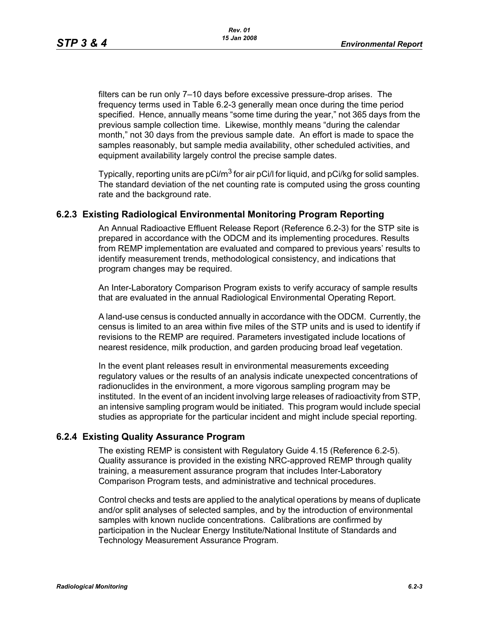filters can be run only 7–10 days before excessive pressure-drop arises. The frequency terms used in Table 6.2-3 generally mean once during the time period specified. Hence, annually means "some time during the year," not 365 days from the previous sample collection time. Likewise, monthly means "during the calendar month," not 30 days from the previous sample date. An effort is made to space the samples reasonably, but sample media availability, other scheduled activities, and equipment availability largely control the precise sample dates.

Typically, reporting units are  $pCi/m^3$  for air  $pCi/l$  for liquid, and  $pCi/kg$  for solid samples. The standard deviation of the net counting rate is computed using the gross counting rate and the background rate.

## **6.2.3 Existing Radiological Environmental Monitoring Program Reporting**

An Annual Radioactive Effluent Release Report (Reference 6.2-3) for the STP site is prepared in accordance with the ODCM and its implementing procedures. Results from REMP implementation are evaluated and compared to previous years' results to identify measurement trends, methodological consistency, and indications that program changes may be required.

An Inter-Laboratory Comparison Program exists to verify accuracy of sample results that are evaluated in the annual Radiological Environmental Operating Report.

A land-use census is conducted annually in accordance with the ODCM. Currently, the census is limited to an area within five miles of the STP units and is used to identify if revisions to the REMP are required. Parameters investigated include locations of nearest residence, milk production, and garden producing broad leaf vegetation.

In the event plant releases result in environmental measurements exceeding regulatory values or the results of an analysis indicate unexpected concentrations of radionuclides in the environment, a more vigorous sampling program may be instituted. In the event of an incident involving large releases of radioactivity from STP, an intensive sampling program would be initiated. This program would include special studies as appropriate for the particular incident and might include special reporting.

## **6.2.4 Existing Quality Assurance Program**

The existing REMP is consistent with Regulatory Guide 4.15 (Reference 6.2-5). Quality assurance is provided in the existing NRC-approved REMP through quality training, a measurement assurance program that includes Inter-Laboratory Comparison Program tests, and administrative and technical procedures.

Control checks and tests are applied to the analytical operations by means of duplicate and/or split analyses of selected samples, and by the introduction of environmental samples with known nuclide concentrations. Calibrations are confirmed by participation in the Nuclear Energy Institute/National Institute of Standards and Technology Measurement Assurance Program.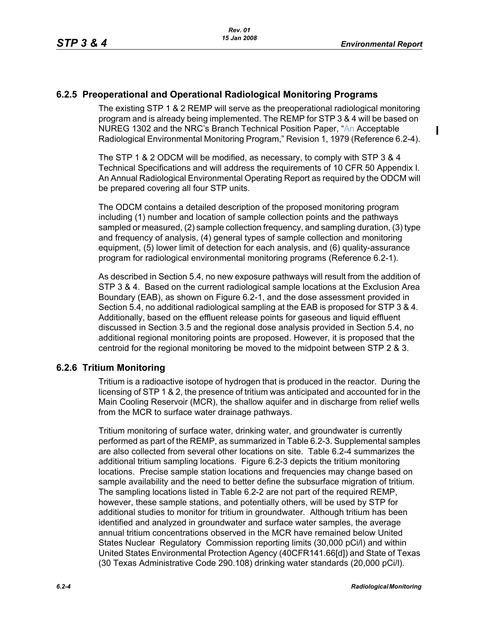$\mathbf I$ 

## **6.2.5 Preoperational and Operational Radiological Monitoring Programs**

The existing STP 1 & 2 REMP will serve as the preoperational radiological monitoring program and is already being implemented. The REMP for STP 3 & 4 will be based on NUREG 1302 and the NRC's Branch Technical Position Paper, "An Acceptable Radiological Environmental Monitoring Program," Revision 1, 1979 (Reference 6.2-4).

The STP 1 & 2 ODCM will be modified, as necessary, to comply with STP 3 & 4 Technical Specifications and will address the requirements of 10 CFR 50 Appendix I. An Annual Radiological Environmental Operating Report as required by the ODCM will be prepared covering all four STP units.

The ODCM contains a detailed description of the proposed monitoring program including (1) number and location of sample collection points and the pathways sampled or measured, (2) sample collection frequency, and sampling duration, (3) type and frequency of analysis, (4) general types of sample collection and monitoring equipment, (5) lower limit of detection for each analysis, and (6) quality-assurance program for radiological environmental monitoring programs (Reference 6.2-1).

As described in Section 5.4, no new exposure pathways will result from the addition of STP 3 & 4. Based on the current radiological sample locations at the Exclusion Area Boundary (EAB), as shown on Figure 6.2-1, and the dose assessment provided in Section 5.4, no additional radiological sampling at the EAB is proposed for STP 3 & 4. Additionally, based on the effluent release points for gaseous and liquid effluent discussed in Section 3.5 and the regional dose analysis provided in Section 5.4, no additional regional monitoring points are proposed. However, it is proposed that the centroid for the regional monitoring be moved to the midpoint between STP 2 & 3.

### **6.2.6 Tritium Monitoring**

Tritium is a radioactive isotope of hydrogen that is produced in the reactor. During the licensing of STP 1 & 2, the presence of tritium was anticipated and accounted for in the Main Cooling Reservoir (MCR), the shallow aquifer and in discharge from relief wells from the MCR to surface water drainage pathways.

Tritium monitoring of surface water, drinking water, and groundwater is currently performed as part of the REMP, as summarized in Table 6.2-3. Supplemental samples are also collected from several other locations on site. Table 6.2-4 summarizes the additional tritium sampling locations. Figure 6.2-3 depicts the tritium monitoring locations. Precise sample station locations and frequencies may change based on sample availability and the need to better define the subsurface migration of tritium. The sampling locations listed in Table 6.2-2 are not part of the required REMP, however, these sample stations, and potentially others, will be used by STP for additional studies to monitor for tritium in groundwater. Although tritium has been identified and analyzed in groundwater and surface water samples, the average annual tritium concentrations observed in the MCR have remained below United States Nuclear Regulatory Commission reporting limits (30,000 pCi/l) and within United States Environmental Protection Agency (40CFR141.66[d]) and State of Texas (30 Texas Administrative Code 290.108) drinking water standards (20,000 pCi/l).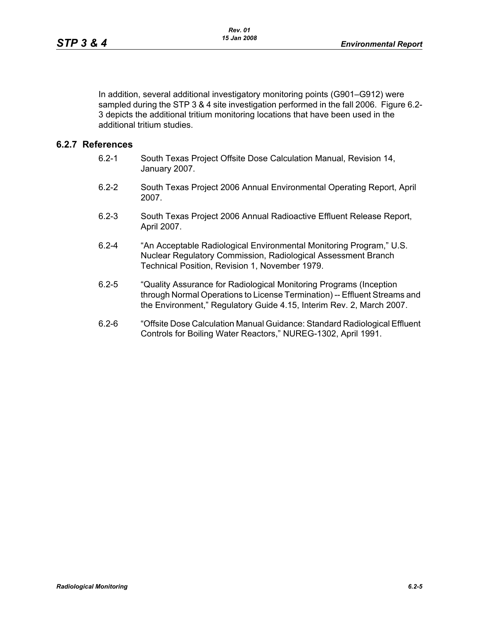In addition, several additional investigatory monitoring points (G901–G912) were sampled during the STP 3 & 4 site investigation performed in the fall 2006. Figure 6.2- 3 depicts the additional tritium monitoring locations that have been used in the additional tritium studies.

## **6.2.7 References**

- 6.2-1 South Texas Project Offsite Dose Calculation Manual, Revision 14, January 2007.
- 6.2-2 South Texas Project 2006 Annual Environmental Operating Report, April 2007.
- 6.2-3 South Texas Project 2006 Annual Radioactive Effluent Release Report, April 2007.
- 6.2-4 "An Acceptable Radiological Environmental Monitoring Program," U.S. Nuclear Regulatory Commission, Radiological Assessment Branch Technical Position, Revision 1, November 1979.
- 6.2-5 "Quality Assurance for Radiological Monitoring Programs (Inception through Normal Operations to License Termination) -- Effluent Streams and the Environment," Regulatory Guide 4.15, Interim Rev. 2, March 2007.
- 6.2-6 "Offsite Dose Calculation Manual Guidance: Standard Radiological Effluent Controls for Boiling Water Reactors," NUREG-1302, April 1991.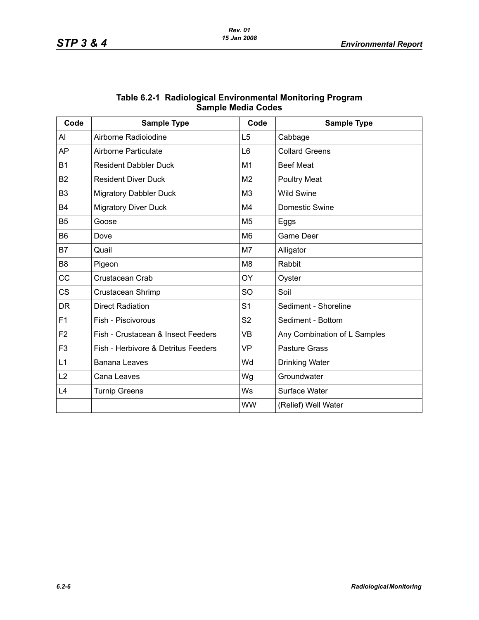| Code           | <b>Sample Type</b>                  | Code           | <b>Sample Type</b>           |
|----------------|-------------------------------------|----------------|------------------------------|
| Al             | Airborne Radioiodine                | L <sub>5</sub> | Cabbage                      |
| AP             | Airborne Particulate                | L <sub>6</sub> | <b>Collard Greens</b>        |
| <b>B1</b>      | <b>Resident Dabbler Duck</b>        | M <sub>1</sub> | <b>Beef Meat</b>             |
| <b>B2</b>      | <b>Resident Diver Duck</b>          | M <sub>2</sub> | <b>Poultry Meat</b>          |
| B <sub>3</sub> | <b>Migratory Dabbler Duck</b>       | M <sub>3</sub> | <b>Wild Swine</b>            |
| <b>B4</b>      | <b>Migratory Diver Duck</b>         | M4             | Domestic Swine               |
| <b>B5</b>      | Goose                               | M <sub>5</sub> | Eggs                         |
| B <sub>6</sub> | Dove                                | M <sub>6</sub> | Game Deer                    |
| B7             | Quail                               | M7             | Alligator                    |
| B <sub>8</sub> | Pigeon                              | M <sub>8</sub> | Rabbit                       |
| <b>CC</b>      | Crustacean Crab                     | OY             | Oyster                       |
| <b>CS</b>      | Crustacean Shrimp                   | SO             | Soil                         |
| <b>DR</b>      | <b>Direct Radiation</b>             | S <sub>1</sub> | Sediment - Shoreline         |
| F <sub>1</sub> | Fish - Piscivorous                  | S <sub>2</sub> | Sediment - Bottom            |
| F <sub>2</sub> | Fish - Crustacean & Insect Feeders  | <b>VB</b>      | Any Combination of L Samples |
| F <sub>3</sub> | Fish - Herbivore & Detritus Feeders | <b>VP</b>      | <b>Pasture Grass</b>         |
| L1             | <b>Banana Leaves</b>                | Wd             | <b>Drinking Water</b>        |
| L2             | Cana Leaves                         | Wg             | Groundwater                  |
| L4             | <b>Turnip Greens</b>                | Ws             | Surface Water                |
|                |                                     | <b>WW</b>      | (Relief) Well Water          |

| Table 6.2-1 Radiological Environmental Monitoring Program |
|-----------------------------------------------------------|
| <b>Sample Media Codes</b>                                 |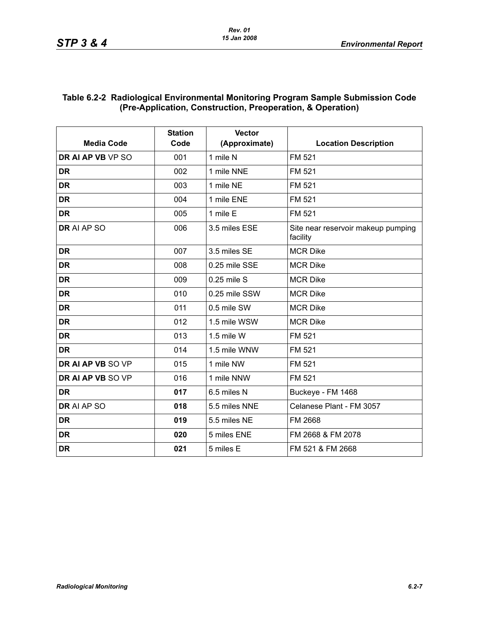## **Table 6.2-2 Radiological Environmental Monitoring Program Sample Submission Code (Pre-Application, Construction, Preoperation, & Operation)**

| <b>Media Code</b> | <b>Station</b><br>Code | <b>Vector</b><br>(Approximate) | <b>Location Description</b>                    |
|-------------------|------------------------|--------------------------------|------------------------------------------------|
| DR AI AP VB VP SO | 001                    | 1 mile N                       | FM 521                                         |
| <b>DR</b>         | 002                    | 1 mile NNE                     | FM 521                                         |
| <b>DR</b>         | 003                    | 1 mile NE                      | FM 521                                         |
| <b>DR</b>         | 004                    | 1 mile ENE                     | FM 521                                         |
| <b>DR</b>         | 005                    | 1 mile E                       | FM 521                                         |
| DR AI AP SO       | 006                    | 3.5 miles ESE                  | Site near reservoir makeup pumping<br>facility |
| <b>DR</b>         | 007                    | 3.5 miles SE                   | <b>MCR Dike</b>                                |
| <b>DR</b>         | 008                    | 0.25 mile SSE                  | <b>MCR Dike</b>                                |
| <b>DR</b>         | 009                    | 0.25 mile S                    | <b>MCR Dike</b>                                |
| <b>DR</b>         | 010                    | 0.25 mile SSW                  | <b>MCR Dike</b>                                |
| <b>DR</b>         | 011                    | 0.5 mile SW                    | <b>MCR Dike</b>                                |
| <b>DR</b>         | 012                    | 1.5 mile WSW                   | <b>MCR Dike</b>                                |
| <b>DR</b>         | 013                    | 1.5 mile W                     | FM 521                                         |
| <b>DR</b>         | 014                    | 1.5 mile WNW                   | FM 521                                         |
| DR AI AP VB SO VP | 015                    | 1 mile NW                      | FM 521                                         |
| DR AI AP VB SO VP | 016                    | 1 mile NNW                     | FM 521                                         |
| <b>DR</b>         | 017                    | 6.5 miles N                    | Buckeye - FM 1468                              |
| DR AI AP SO       | 018                    | 5.5 miles NNE                  | Celanese Plant - FM 3057                       |
| <b>DR</b>         | 019                    | 5.5 miles NE                   | FM 2668                                        |
| <b>DR</b>         | 020                    | 5 miles ENE                    | FM 2668 & FM 2078                              |
| <b>DR</b>         | 021                    | 5 miles E                      | FM 521 & FM 2668                               |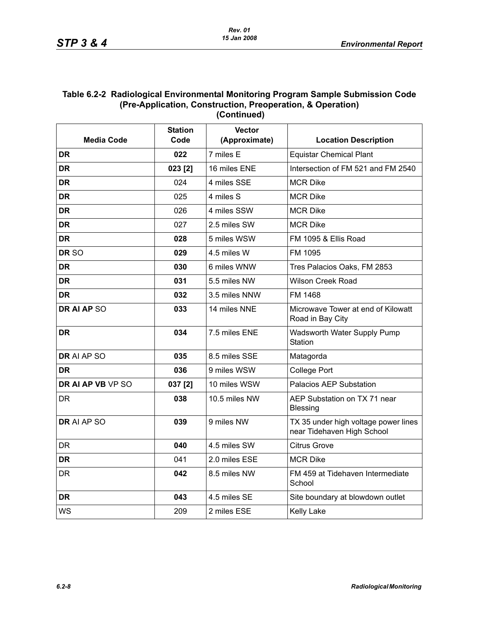#### **Table 6.2-2 Radiological Environmental Monitoring Program Sample Submission Code (Pre-Application, Construction, Preoperation, & Operation) (Continued)**

|                   | <b>Station</b><br><b>Vector</b> |               |                                                                    |  |
|-------------------|---------------------------------|---------------|--------------------------------------------------------------------|--|
| <b>Media Code</b> | Code                            | (Approximate) | <b>Location Description</b>                                        |  |
| <b>DR</b>         | 022                             | 7 miles E     | <b>Equistar Chemical Plant</b>                                     |  |
| <b>DR</b>         | 023 [2]                         | 16 miles ENE  | Intersection of FM 521 and FM 2540                                 |  |
| <b>DR</b>         | 024                             | 4 miles SSE   | <b>MCR Dike</b>                                                    |  |
| <b>DR</b>         | 025                             | 4 miles S     | <b>MCR Dike</b>                                                    |  |
| <b>DR</b>         | 026                             | 4 miles SSW   | <b>MCR Dike</b>                                                    |  |
| <b>DR</b>         | 027                             | 2.5 miles SW  | <b>MCR Dike</b>                                                    |  |
| <b>DR</b>         | 028                             | 5 miles WSW   | FM 1095 & Ellis Road                                               |  |
| DR <sub>SO</sub>  | 029                             | 4.5 miles W   | FM 1095                                                            |  |
| <b>DR</b>         | 030                             | 6 miles WNW   | Tres Palacios Oaks, FM 2853                                        |  |
| <b>DR</b>         | 031                             | 5.5 miles NW  | <b>Wilson Creek Road</b>                                           |  |
| <b>DR</b>         | 032                             | 3.5 miles NNW | FM 1468                                                            |  |
| DR AI AP SO       | 033                             | 14 miles NNE  | Microwave Tower at end of Kilowatt<br>Road in Bay City             |  |
| <b>DR</b>         | 034                             | 7.5 miles ENE | Wadsworth Water Supply Pump<br>Station                             |  |
| DR AI AP SO       | 035                             | 8.5 miles SSE | Matagorda                                                          |  |
| DR.               | 036                             | 9 miles WSW   | <b>College Port</b>                                                |  |
| DR AI AP VB VP SO | 037 [2]                         | 10 miles WSW  | <b>Palacios AEP Substation</b>                                     |  |
| DR                | 038                             | 10.5 miles NW | AEP Substation on TX 71 near<br><b>Blessing</b>                    |  |
| DR AI AP SO       | 039                             | 9 miles NW    | TX 35 under high voltage power lines<br>near Tidehaven High School |  |
| <b>DR</b>         | 040                             | 4.5 miles SW  | <b>Citrus Grove</b>                                                |  |
| <b>DR</b>         | 041                             | 2.0 miles ESE | <b>MCR Dike</b>                                                    |  |
| DR                | 042                             | 8.5 miles NW  | FM 459 at Tidehaven Intermediate<br>School                         |  |
| <b>DR</b>         | 043                             | 4.5 miles SE  | Site boundary at blowdown outlet                                   |  |
| <b>WS</b>         | 209                             | 2 miles ESE   | <b>Kelly Lake</b>                                                  |  |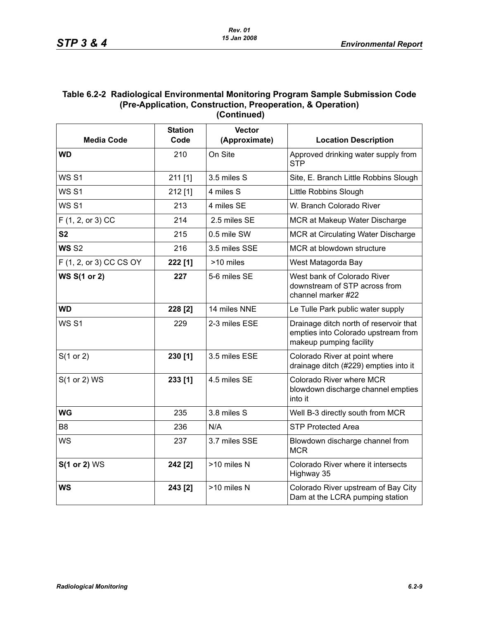#### **Table 6.2-2 Radiological Environmental Monitoring Program Sample Submission Code (Pre-Application, Construction, Preoperation, & Operation) (Continued)**

|                         | <b>Station</b> | <b>Vector</b> |                                                                                                          |
|-------------------------|----------------|---------------|----------------------------------------------------------------------------------------------------------|
| <b>Media Code</b>       | Code           | (Approximate) | <b>Location Description</b>                                                                              |
| <b>WD</b>               | 210            | On Site       | Approved drinking water supply from<br><b>STP</b>                                                        |
| <b>WS S1</b>            | 211 [1]        | 3.5 miles S   | Site, E. Branch Little Robbins Slough                                                                    |
| <b>WS S1</b>            | 212[1]         | 4 miles S     | Little Robbins Slough                                                                                    |
| <b>WS S1</b>            | 213            | 4 miles SE    | W. Branch Colorado River                                                                                 |
| F (1, 2, or 3) CC       | 214            | 2.5 miles SE  | MCR at Makeup Water Discharge                                                                            |
| S <sub>2</sub>          | 215            | 0.5 mile SW   | MCR at Circulating Water Discharge                                                                       |
| <b>WS S2</b>            | 216            | 3.5 miles SSE | MCR at blowdown structure                                                                                |
| F (1, 2, or 3) CC CS OY | 222 [1]        | >10 miles     | West Matagorda Bay                                                                                       |
| <b>WS S(1 or 2)</b>     | 227            | 5-6 miles SE  | West bank of Colorado River<br>downstream of STP across from<br>channel marker #22                       |
| <b>WD</b>               | 228 [2]        | 14 miles NNE  | Le Tulle Park public water supply                                                                        |
| <b>WS S1</b>            | 229            | 2-3 miles ESE | Drainage ditch north of reservoir that<br>empties into Colorado upstream from<br>makeup pumping facility |
| $S(1 \text{ or } 2)$    | 230 [1]        | 3.5 miles ESE | Colorado River at point where<br>drainage ditch (#229) empties into it                                   |
| S(1 or 2) WS            | 233 [1]        | 4.5 miles SE  | Colorado River where MCR<br>blowdown discharge channel empties<br>into it                                |
| WG                      | 235            | 3.8 miles S   | Well B-3 directly south from MCR                                                                         |
| B <sub>8</sub>          | 236            | N/A           | <b>STP Protected Area</b>                                                                                |
| <b>WS</b>               | 237            | 3.7 miles SSE | Blowdown discharge channel from<br><b>MCR</b>                                                            |
| <b>S(1 or 2) WS</b>     | 242 [2]        | >10 miles N   | Colorado River where it intersects<br>Highway 35                                                         |
| <b>WS</b>               | 243 [2]        | >10 miles N   | Colorado River upstream of Bay City<br>Dam at the LCRA pumping station                                   |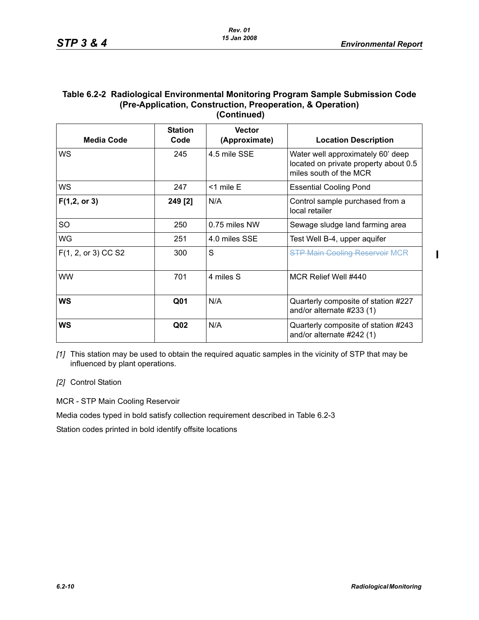$\blacksquare$ 

#### **Table 6.2-2 Radiological Environmental Monitoring Program Sample Submission Code (Pre-Application, Construction, Preoperation, & Operation) (Continued)**

| <b>Media Code</b>   | <b>Station</b><br>Code | <b>Vector</b><br>(Approximate) | <b>Location Description</b>                                                                          |
|---------------------|------------------------|--------------------------------|------------------------------------------------------------------------------------------------------|
| WS                  | 245                    | 4.5 mile SSE                   | Water well approximately 60' deep<br>located on private property about 0.5<br>miles south of the MCR |
| WS                  | 247                    | $<$ 1 mile E                   | <b>Essential Cooling Pond</b>                                                                        |
| $F(1,2,$ or 3)      | 249 [2]                | N/A                            | Control sample purchased from a<br>local retailer                                                    |
| <b>SO</b>           | 250                    | 0.75 miles NW                  | Sewage sludge land farming area                                                                      |
| WG                  | 251                    | 4.0 miles SSE                  | Test Well B-4, upper aquifer                                                                         |
| F(1, 2, or 3) CC S2 | 300                    | S                              | <b>STP Main Cooling Reservoir MCR</b>                                                                |
| <b>WW</b>           | 701                    | 4 miles S                      | MCR Relief Well #440                                                                                 |
| WS                  | Q <sub>01</sub>        | N/A                            | Quarterly composite of station #227<br>and/or alternate #233 (1)                                     |
| WS                  | Q <sub>02</sub>        | N/A                            | Quarterly composite of station #243<br>and/or alternate #242 (1)                                     |

*[1]* This station may be used to obtain the required aquatic samples in the vicinity of STP that may be influenced by plant operations.

*[2]* Control Station

MCR - STP Main Cooling Reservoir

Media codes typed in bold satisfy collection requirement described in Table 6.2-3

Station codes printed in bold identify offsite locations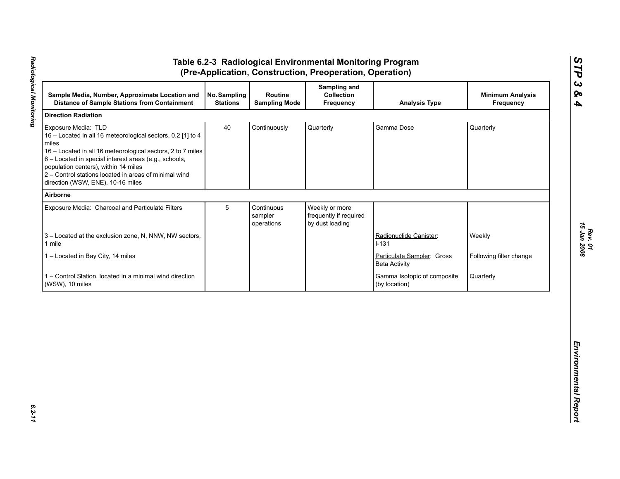|                                                                                                                                                                                                                                                                                                                                                           | No. Sampling<br><b>Stations</b> | Routine<br><b>Sampling Mode</b>     | Sampling and<br>Collection<br>Frequency                     | <b>Analysis Type</b>                               | <b>Minimum Analysis</b><br>Frequency |
|-----------------------------------------------------------------------------------------------------------------------------------------------------------------------------------------------------------------------------------------------------------------------------------------------------------------------------------------------------------|---------------------------------|-------------------------------------|-------------------------------------------------------------|----------------------------------------------------|--------------------------------------|
| <b>Direction Radiation</b>                                                                                                                                                                                                                                                                                                                                |                                 |                                     |                                                             |                                                    |                                      |
| Exposure Media: TLD<br>16 - Located in all 16 meteorological sectors, 0.2 [1] to 4<br>miles<br>16 - Located in all 16 meteorological sectors, 2 to 7 miles<br>6 - Located in special interest areas (e.g., schools,<br>population centers), within 14 miles<br>2 - Control stations located in areas of minimal wind<br>direction (WSW, ENE), 10-16 miles | 40                              | Continuously                        | Quarterly                                                   | Gamma Dose                                         | Quarterly                            |
| Airborne                                                                                                                                                                                                                                                                                                                                                  |                                 |                                     |                                                             |                                                    |                                      |
| Exposure Media: Charcoal and Particulate Filters                                                                                                                                                                                                                                                                                                          | 5                               | Continuous<br>sampler<br>operations | Weekly or more<br>frequently if required<br>by dust loading |                                                    |                                      |
| 3 - Located at the exclusion zone, N, NNW, NW sectors,<br>1 mile                                                                                                                                                                                                                                                                                          |                                 |                                     |                                                             | Radionuclide Canister:<br>$I-131$                  | Weekly                               |
| 1 - Located in Bay City, 14 miles                                                                                                                                                                                                                                                                                                                         |                                 |                                     |                                                             | Particulate Sampler: Gross<br><b>Beta Activity</b> | Following filter change              |
| 1 - Control Station, located in a minimal wind direction<br>(WSW), 10 miles                                                                                                                                                                                                                                                                               |                                 |                                     |                                                             | Gamma Isotopic of composite<br>(by location)       | Quarterly                            |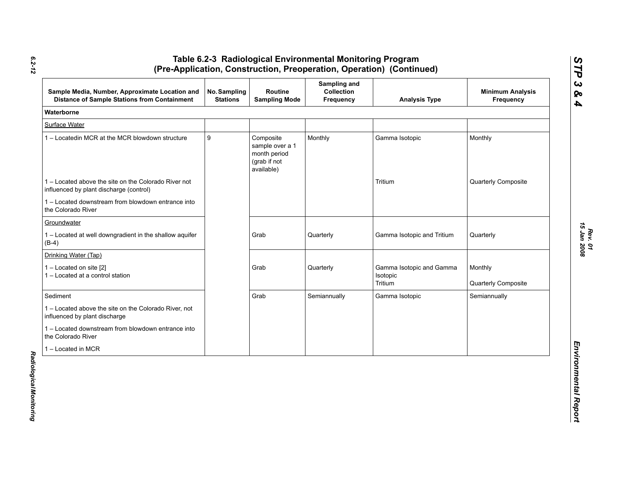| Sample Media, Number, Approximate Location and<br><b>Distance of Sample Stations from Containment</b> | No. Sampling<br><b>Stations</b> | Routine<br><b>Sampling Mode</b>                                            | Sampling and<br>Collection<br><b>Frequency</b> | <b>Analysis Type</b>                            | <b>Minimum Analysis</b><br>Frequency |
|-------------------------------------------------------------------------------------------------------|---------------------------------|----------------------------------------------------------------------------|------------------------------------------------|-------------------------------------------------|--------------------------------------|
| Waterborne                                                                                            |                                 |                                                                            |                                                |                                                 |                                      |
| Surface Water                                                                                         |                                 |                                                                            |                                                |                                                 |                                      |
| 1 - Locatedin MCR at the MCR blowdown structure                                                       | 9                               | Composite<br>sample over a 1<br>month period<br>(grab if not<br>available) | Monthly                                        | Gamma Isotopic                                  | Monthly                              |
| 1 – Located above the site on the Colorado River not<br>influenced by plant discharge (control)       |                                 |                                                                            |                                                | Tritium                                         | Quarterly Composite                  |
| 1 - Located downstream from blowdown entrance into<br>the Colorado River                              |                                 |                                                                            |                                                |                                                 |                                      |
| Groundwater                                                                                           |                                 |                                                                            |                                                |                                                 |                                      |
| 1 - Located at well downgradient in the shallow aquifer<br>$(B-4)$                                    |                                 | Grab                                                                       | Quarterly                                      | Gamma Isotopic and Tritium                      | Quarterly                            |
| Drinking Water (Tap)                                                                                  |                                 |                                                                            |                                                |                                                 |                                      |
| 1 - Located on site [2]<br>1 - Located at a control station                                           |                                 | Grab                                                                       | Quarterly                                      | Gamma Isotopic and Gamma<br>Isotopic<br>Tritium | Monthly<br>Quarterly Composite       |
| Sediment                                                                                              |                                 | Grab                                                                       | Semiannually                                   | Gamma Isotopic                                  | Semiannually                         |
| 1 - Located above the site on the Colorado River, not<br>influenced by plant discharge                |                                 |                                                                            |                                                |                                                 |                                      |
| 1 – Located downstream from blowdown entrance into<br>the Colorado River                              |                                 |                                                                            |                                                |                                                 |                                      |
| 1 - Located in MCR                                                                                    |                                 |                                                                            |                                                |                                                 |                                      |

*6.2-12*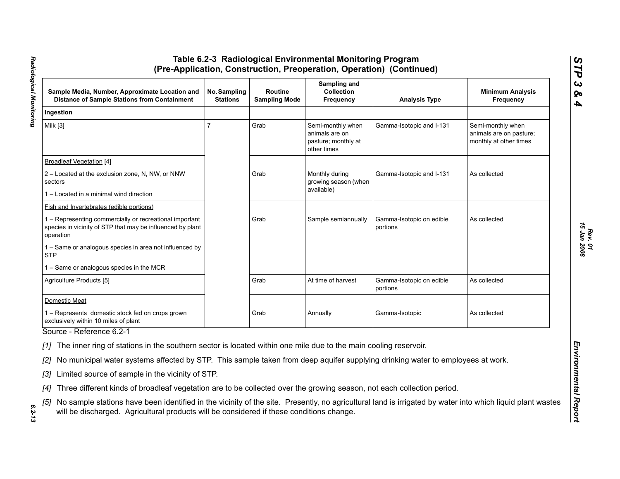| Sample Media, Number, Approximate Location and<br><b>Distance of Sample Stations from Containment</b>                                                                                                                                                     | No. Sampling<br><b>Stations</b> | <b>Routine</b><br><b>Sampling Mode</b> | Sampling and<br><b>Collection</b><br>Frequency                            | <b>Analysis Type</b>                 | <b>Minimum Analysis</b><br>Frequency                                   |
|-----------------------------------------------------------------------------------------------------------------------------------------------------------------------------------------------------------------------------------------------------------|---------------------------------|----------------------------------------|---------------------------------------------------------------------------|--------------------------------------|------------------------------------------------------------------------|
| Ingestion                                                                                                                                                                                                                                                 |                                 |                                        |                                                                           |                                      |                                                                        |
| Milk [3]                                                                                                                                                                                                                                                  | 7                               | Grab                                   | Semi-monthly when<br>animals are on<br>pasture; monthly at<br>other times | Gamma-Isotopic and I-131             | Semi-monthly when<br>animals are on pasture;<br>monthly at other times |
| <b>Broadleaf Vegetation [4]</b>                                                                                                                                                                                                                           |                                 |                                        |                                                                           |                                      |                                                                        |
| 2 – Located at the exclusion zone, N, NW, or NNW<br>sectors                                                                                                                                                                                               |                                 | Grab                                   | Monthly during<br>growing season (when                                    | Gamma-Isotopic and I-131             | As collected                                                           |
| 1 – Located in a minimal wind direction                                                                                                                                                                                                                   |                                 |                                        | available)                                                                |                                      |                                                                        |
| <b>Fish and Invertebrates (edible portions)</b>                                                                                                                                                                                                           |                                 |                                        |                                                                           |                                      |                                                                        |
| 1 - Representing commercially or recreational important<br>species in vicinity of STP that may be influenced by plant<br>operation                                                                                                                        |                                 | Grab                                   | Sample semiannually                                                       | Gamma-Isotopic on edible<br>portions | As collected                                                           |
| 1 - Same or analogous species in area not influenced by<br><b>STP</b>                                                                                                                                                                                     |                                 |                                        |                                                                           |                                      |                                                                        |
| 1 - Same or analogous species in the MCR                                                                                                                                                                                                                  |                                 |                                        |                                                                           |                                      |                                                                        |
| <b>Agriculture Products [5]</b>                                                                                                                                                                                                                           |                                 | Grab                                   | At time of harvest                                                        | Gamma-Isotopic on edible<br>portions | As collected                                                           |
| Domestic Meat                                                                                                                                                                                                                                             |                                 |                                        |                                                                           |                                      |                                                                        |
| 1 - Represents domestic stock fed on crops grown<br>exclusively within 10 miles of plant                                                                                                                                                                  |                                 | Grab                                   | Annually                                                                  | Gamma-Isotopic                       | As collected                                                           |
| Source - Reference 6.2-1                                                                                                                                                                                                                                  |                                 |                                        |                                                                           |                                      |                                                                        |
| [1] The inner ring of stations in the southern sector is located within one mile due to the main cooling reservoir.                                                                                                                                       |                                 |                                        |                                                                           |                                      |                                                                        |
| [2] No municipal water systems affected by STP. This sample taken from deep aquifer supplying drinking water to employees at work.                                                                                                                        |                                 |                                        |                                                                           |                                      |                                                                        |
| [3] Limited source of sample in the vicinity of STP.                                                                                                                                                                                                      |                                 |                                        |                                                                           |                                      |                                                                        |
| [4] Three different kinds of broadleaf vegetation are to be collected over the growing season, not each collection period.                                                                                                                                |                                 |                                        |                                                                           |                                      |                                                                        |
| [5] No sample stations have been identified in the vicinity of the site. Presently, no agricultural land is irrigated by water into which liquid plant wastes<br>will be discharged. Agricultural products will be considered if these conditions change. |                                 |                                        |                                                                           |                                      |                                                                        |

*STP 3 & 4*

 $6.2 - 13$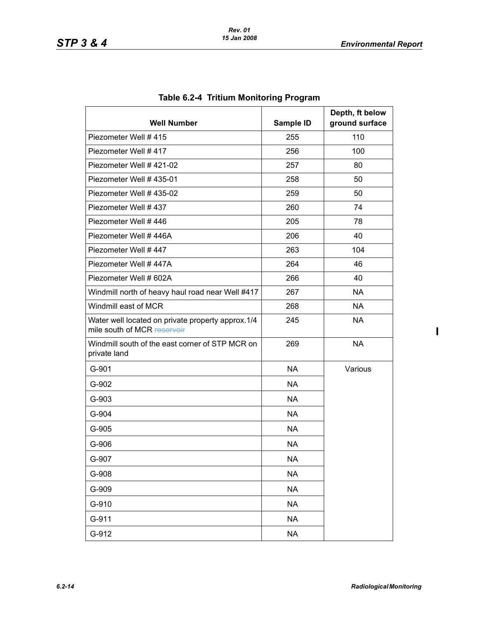| <b>Well Number</b>                                                               | Sample ID | Depth, ft below<br>ground surface |
|----------------------------------------------------------------------------------|-----------|-----------------------------------|
| Piezometer Well #415                                                             | 255       | 110                               |
| Piezometer Well #417                                                             | 256       | 100                               |
| Piezometer Well #421-02                                                          | 257       | 80                                |
| Piezometer Well #435-01                                                          | 258       | 50                                |
| Piezometer Well # 435-02                                                         | 259       | 50                                |
| Piezometer Well #437                                                             | 260       | 74                                |
| Piezometer Well #446                                                             | 205       | 78                                |
| Piezometer Well #446A                                                            | 206       | 40                                |
| Piezometer Well #447                                                             | 263       | 104                               |
| Piezometer Well #447A                                                            | 264       | 46                                |
| Piezometer Well # 602A                                                           | 266       | 40                                |
| Windmill north of heavy haul road near Well #417                                 | 267       | <b>NA</b>                         |
| Windmill east of MCR                                                             | 268       | <b>NA</b>                         |
| Water well located on private property approx.1/4<br>mile south of MCR reservoir | 245       | <b>NA</b>                         |
| Windmill south of the east corner of STP MCR on<br>private land                  | 269       | <b>NA</b>                         |
| G-901                                                                            | <b>NA</b> | Various                           |
| G-902                                                                            | <b>NA</b> |                                   |
| G-903                                                                            | <b>NA</b> |                                   |
| G-904                                                                            | <b>NA</b> |                                   |
| G-905                                                                            | <b>NA</b> |                                   |
| G-906                                                                            | <b>NA</b> |                                   |
| G-907                                                                            | <b>NA</b> |                                   |
| G-908                                                                            | <b>NA</b> |                                   |
| G-909                                                                            | <b>NA</b> |                                   |
| G-910                                                                            | <b>NA</b> |                                   |
| G-911                                                                            | <b>NA</b> |                                   |
| G-912                                                                            | <b>NA</b> |                                   |

# **Table 6.2-4 Tritium Monitoring Program**

 $\mathbf{I}$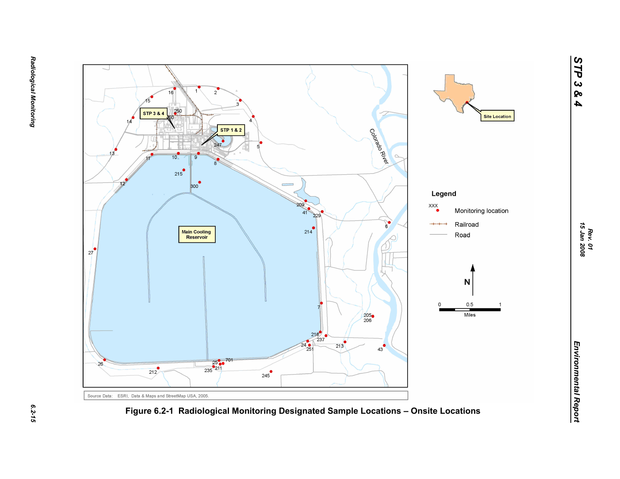$6.2 - 15$ 

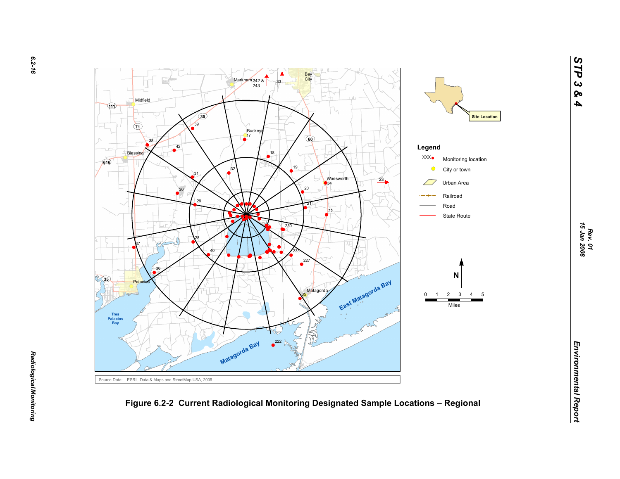